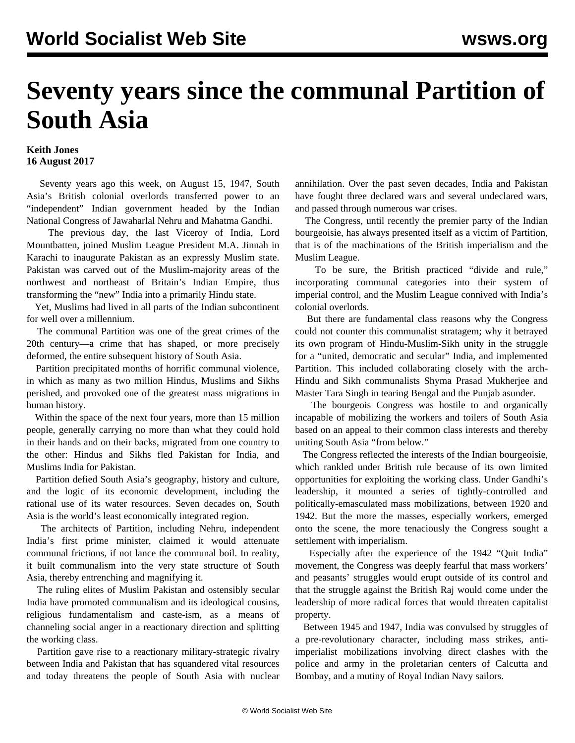## **Seventy years since the communal Partition of South Asia**

## **Keith Jones 16 August 2017**

 Seventy years ago this week, on August 15, 1947, South Asia's British colonial overlords transferred power to an "independent" Indian government headed by the Indian National Congress of Jawaharlal Nehru and Mahatma Gandhi.

 The previous day, the last Viceroy of India, Lord Mountbatten, joined Muslim League President M.A. Jinnah in Karachi to inaugurate Pakistan as an expressly Muslim state. Pakistan was carved out of the Muslim-majority areas of the northwest and northeast of Britain's Indian Empire, thus transforming the "new" India into a primarily Hindu state.

 Yet, Muslims had lived in all parts of the Indian subcontinent for well over a millennium.

 The communal Partition was one of the great crimes of the 20th century—a crime that has shaped, or more precisely deformed, the entire subsequent history of South Asia.

 Partition precipitated months of horrific communal violence, in which as many as two million Hindus, Muslims and Sikhs perished, and provoked one of the greatest mass migrations in human history.

 Within the space of the next four years, more than 15 million people, generally carrying no more than what they could hold in their hands and on their backs, migrated from one country to the other: Hindus and Sikhs fled Pakistan for India, and Muslims India for Pakistan.

 Partition defied South Asia's geography, history and culture, and the logic of its economic development, including the rational use of its water resources. Seven decades on, South Asia is the world's least economically integrated region.

 The architects of Partition, including Nehru, independent India's first prime minister, claimed it would attenuate communal frictions, if not lance the communal boil. In reality, it built communalism into the very state structure of South Asia, thereby entrenching and magnifying it.

 The ruling elites of Muslim Pakistan and ostensibly secular India have promoted communalism and its ideological cousins, religious fundamentalism and caste-ism, as a means of channeling social anger in a reactionary direction and splitting the working class.

 Partition gave rise to a reactionary military-strategic rivalry between India and Pakistan that has squandered vital resources and today threatens the people of South Asia with nuclear annihilation. Over the past seven decades, India and Pakistan have fought three declared wars and several undeclared wars, and passed through numerous war crises.

 The Congress, until recently the premier party of the Indian bourgeoisie, has always presented itself as a victim of Partition, that is of the machinations of the British imperialism and the Muslim League.

 To be sure, the British practiced "divide and rule," incorporating communal categories into their system of imperial control, and the Muslim League connived with India's colonial overlords.

 But there are fundamental class reasons why the Congress could not counter this communalist stratagem; why it betrayed its own program of Hindu-Muslim-Sikh unity in the struggle for a "united, democratic and secular" India, and implemented Partition. This included collaborating closely with the arch-Hindu and Sikh communalists Shyma Prasad Mukherjee and Master Tara Singh in tearing Bengal and the Punjab asunder.

 The bourgeois Congress was hostile to and organically incapable of mobilizing the workers and toilers of South Asia based on an appeal to their common class interests and thereby uniting South Asia "from below."

 The Congress reflected the interests of the Indian bourgeoisie, which rankled under British rule because of its own limited opportunities for exploiting the working class. Under Gandhi's leadership, it mounted a series of tightly-controlled and politically-emasculated mass mobilizations, between 1920 and 1942. But the more the masses, especially workers, emerged onto the scene, the more tenaciously the Congress sought a settlement with imperialism.

 Especially after the experience of the 1942 "Quit India" movement, the Congress was deeply fearful that mass workers' and peasants' struggles would erupt outside of its control and that the struggle against the British Raj would come under the leadership of more radical forces that would threaten capitalist property.

 Between 1945 and 1947, India was convulsed by struggles of a pre-revolutionary character, including mass strikes, antiimperialist mobilizations involving direct clashes with the police and army in the proletarian centers of Calcutta and Bombay, and a mutiny of Royal Indian Navy sailors.